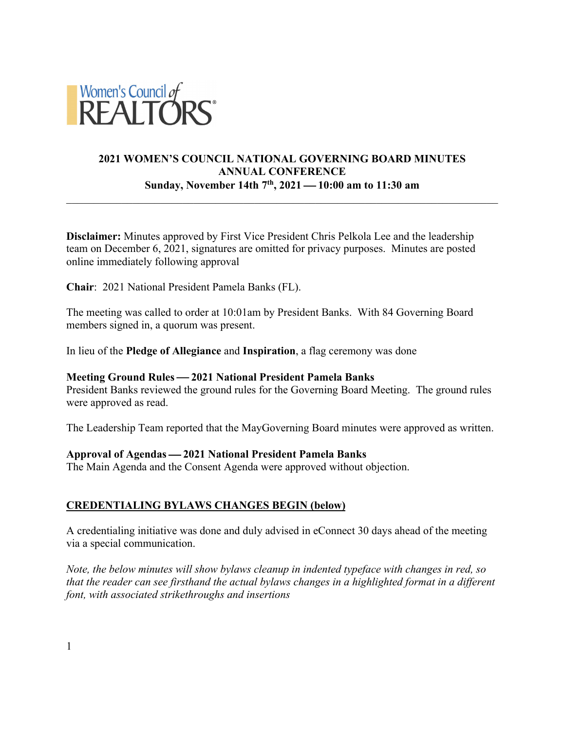

# **2021 WOMEN'S COUNCIL NATIONAL GOVERNING BOARD MINUTES ANNUAL CONFERENCE Sunday, November 14th 7th, 2021** ¾ **10:00 am to 11:30 am**

**Disclaimer:** Minutes approved by First Vice President Chris Pelkola Lee and the leadership team on December 6, 2021, signatures are omitted for privacy purposes. Minutes are posted online immediately following approval

**Chair**: 2021 National President Pamela Banks (FL).

The meeting was called to order at 10:01am by President Banks. With 84 Governing Board members signed in, a quorum was present.

In lieu of the **Pledge of Allegiance** and **Inspiration**, a flag ceremony was done

### **Meeting Ground Rules — 2021 National President Pamela Banks**

President Banks reviewed the ground rules for the Governing Board Meeting. The ground rules were approved as read.

The Leadership Team reported that the MayGoverning Board minutes were approved as written.

### **Approval of Agendas** ¾ **2021 National President Pamela Banks**

The Main Agenda and the Consent Agenda were approved without objection.

### **CREDENTIALING BYLAWS CHANGES BEGIN (below)**

A credentialing initiative was done and duly advised in eConnect 30 days ahead of the meeting via a special communication.

*Note, the below minutes will show bylaws cleanup in indented typeface with changes in red, so that the reader can see firsthand the actual bylaws changes in a highlighted format in a different font, with associated strikethroughs and insertions*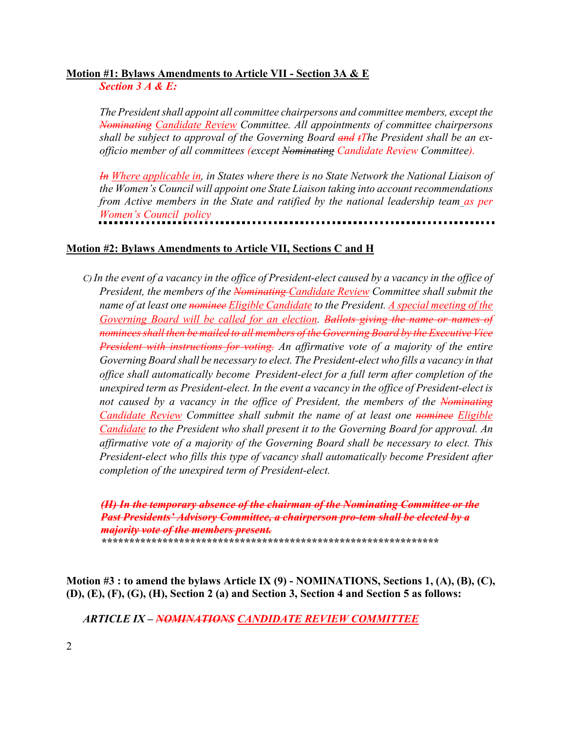### **Motion #1: Bylaws Amendments to Article VII - Section 3A & E**

*Section 3 A & E:* 

*The President shall appoint all committee chairpersons and committee members, except the Nominating Candidate Review Committee. All appointments of committee chairpersons shall be subject to approval of the Governing Board and tThe President shall be an exofficio member of all committees (except Nominating Candidate Review Committee).*

*In Where applicable in, in States where there is no State Network the National Liaison of the Women's Council will appoint one State Liaison taking into account recommendations from Active members in the State and ratified by the national leadership team as per Women's Council policy*

## **Motion #2: Bylaws Amendments to Article VII, Sections C and H**

*C) In the event of a vacancy in the office of President-elect caused by a vacancy in the office of President, the members of the Nominating Candidate Review Committee shall submit the name of at least one nominee Eligible Candidate to the President. A special meeting of the Governing Board will be called for an election. Ballots giving the name or names of nominees shall then be mailed to all members of the Governing Board by the Executive Vice President with instructions for voting. An affirmative vote of a majority of the entire Governing Board shall be necessary to elect. The President-elect who fills a vacancy in that office shall automatically become President-elect for a full term after completion of the unexpired term as President-elect. In the event a vacancy in the office of President-elect is not caused by a vacancy in the office of President, the members of the Nominating Candidate Review Committee shall submit the name of at least one nominee Eligible Candidate to the President who shall present it to the Governing Board for approval. An affirmative vote of a majority of the Governing Board shall be necessary to elect. This President-elect who fills this type of vacancy shall automatically become President after completion of the unexpired term of President-elect.*

*(H) In the temporary absence of the chairman of the Nominating Committee or the Past Presidents' Advisory Committee, a chairperson pro-tem shall be elected by a majority vote of the members present. \*\*\*\*\*\*\*\*\*\*\*\*\*\*\*\*\*\*\*\*\*\*\*\*\*\*\*\*\*\*\*\*\*\*\*\*\*\*\*\*\*\*\*\*\*\*\*\*\*\*\*\*\*\*\*\*\*\*\*\*\**

**Motion #3 : to amend the bylaws Article IX (9) - NOMINATIONS, Sections 1, (A), (B), (C), (D), (E), (F), (G), (H), Section 2 (a) and Section 3, Section 4 and Section 5 as follows:**

*ARTICLE IX – NOMINATIONS CANDIDATE REVIEW COMMITTEE*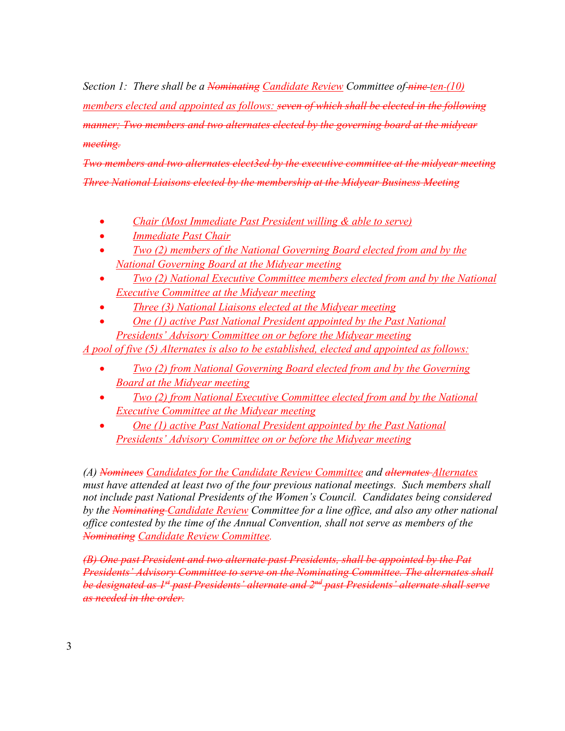*Section 1: There shall be a Nominating Candidate Review Committee of nine ten (10) members elected and appointed as follows: seven of which shall be elected in the following manner; Two members and two alternates elected by the governing board at the midyear meeting.*

*Two members and two alternates elect3ed by the executive committee at the midyear meeting Three National Liaisons elected by the membership at the Midyear Business Meeting*

- *Chair (Most Immediate Past President willing & able to serve)*
- *Immediate Past Chair*
- *Two (2) members of the National Governing Board elected from and by the National Governing Board at the Midyear meeting*
- *Two (2) National Executive Committee members elected from and by the National Executive Committee at the Midyear meeting*
- *Three (3) National Liaisons elected at the Midyear meeting*
- *One (1) active Past National President appointed by the Past National Presidents' Advisory Committee on or before the Midyear meeting*

*A pool of five (5) Alternates is also to be established, elected and appointed as follows:*

- *Two (2) from National Governing Board elected from and by the Governing Board at the Midyear meeting*
- *Two (2) from National Executive Committee elected from and by the National Executive Committee at the Midyear meeting*
- *One (1) active Past National President appointed by the Past National Presidents' Advisory Committee on or before the Midyear meeting*

*(A) Nominees Candidates for the Candidate Review Committee and alternates Alternates must have attended at least two of the four previous national meetings. Such members shall not include past National Presidents of the Women's Council. Candidates being considered by the Nominating Candidate Review Committee for a line office, and also any other national office contested by the time of the Annual Convention, shall not serve as members of the Nominating Candidate Review Committee.*

*(B) One past President and two alternate past Presidents, shall be appointed by the Pat Presidents' Advisory Committee to serve on the Nominating Committee. The alternates shall be designated as 1st past Presidents' alternate and 2nd past Presidents' alternate shall serve as needed in the order.*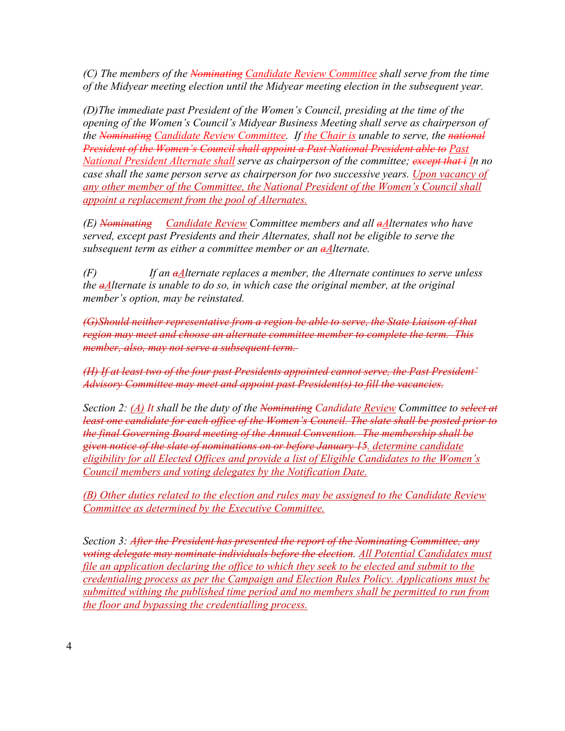*(C) The members of the Nominating Candidate Review Committee shall serve from the time of the Midyear meeting election until the Midyear meeting election in the subsequent year.*

*(D)The immediate past President of the Women's Council, presiding at the time of the opening of the Women's Council's Midyear Business Meeting shall serve as chairperson of the Nominating Candidate Review Committee. If the Chair is unable to serve, the national President of the Women's Council shall appoint a Past National President able to Past National President Alternate shall serve as chairperson of the committee; except that i In no case shall the same person serve as chairperson for two successive years. Upon vacancy of any other member of the Committee, the National President of the Women's Council shall appoint a replacement from the pool of Alternates.*

*(E) Nominating Candidate Review Committee members and all aAlternates who have served, except past Presidents and their Alternates, shall not be eligible to serve the subsequent term as either a committee member or an aAlternate.*

*(F) If an aAlternate replaces a member, the Alternate continues to serve unless the aAlternate is unable to do so, in which case the original member, at the original member's option, may be reinstated.*

*(G)Should neither representative from a region be able to serve, the State Liaison of that region may meet and choose an alternate committee member to complete the term. This member, also, may not serve a subsequent term.*

*(H) If at least two of the four past Presidents appointed cannot serve, the Past President' Advisory Committee may meet and appoint past President(s) to fill the vacancies.*

*Section 2: (A) It shall be the duty of the Nominating Candidate Review Committee to select at least one candidate for each office of the Women's Council. The slate shall be posted prior to the final Governing Board meeting of the Annual Convention. The membership shall be given notice of the slate of nominations on or before January 15. determine candidate eligibility for all Elected Offices and provide a list of Eligible Candidates to the Women's Council members and voting delegates by the Notification Date.*

*(B) Other duties related to the election and rules may be assigned to the Candidate Review Committee as determined by the Executive Committee.* 

*Section 3: After the President has presented the report of the Nominating Committee, any voting delegate may nominate individuals before the election. All Potential Candidates must file an application declaring the office to which they seek to be elected and submit to the credentialing process as per the Campaign and Election Rules Policy. Applications must be submitted withing the published time period and no members shall be permitted to run from the floor and bypassing the credentialling process.*